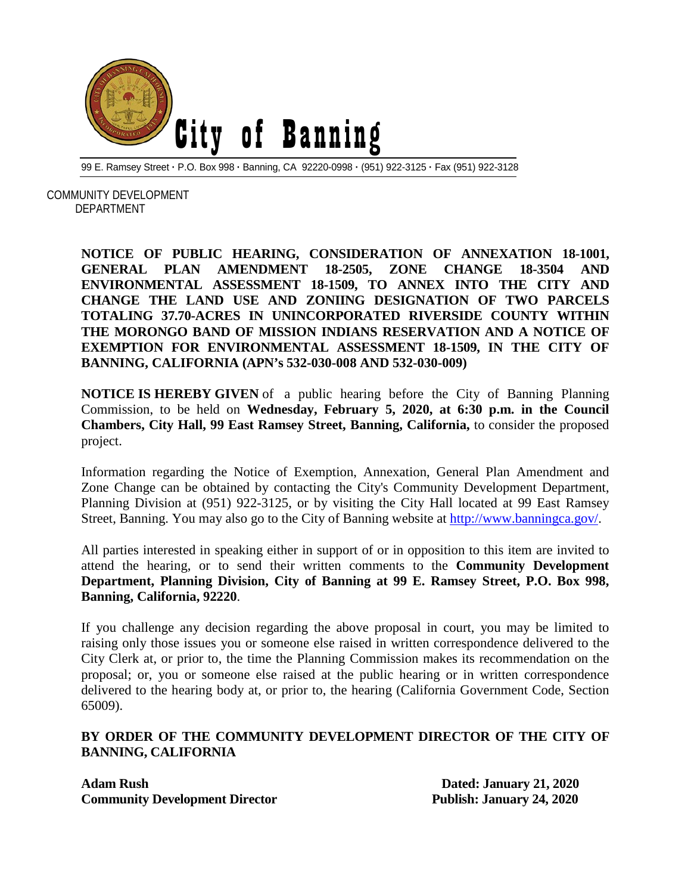

99 E. Ramsey Street **·** P.O. Box 998 **·** Banning, CA 92220-0998 **·** (951) 922-3125 **·** Fax (951) 922-3128

 COMMUNITY DEVELOPMENT DEPARTMENT

> **NOTICE OF PUBLIC HEARING, CONSIDERATION OF ANNEXATION 18-1001, GENERAL PLAN AMENDMENT 18-2505, ZONE CHANGE 18-3504 AND ENVIRONMENTAL ASSESSMENT 18-1509, TO ANNEX INTO THE CITY AND CHANGE THE LAND USE AND ZONIING DESIGNATION OF TWO PARCELS TOTALING 37.70-ACRES IN UNINCORPORATED RIVERSIDE COUNTY WITHIN THE MORONGO BAND OF MISSION INDIANS RESERVATION AND A NOTICE OF EXEMPTION FOR ENVIRONMENTAL ASSESSMENT 18-1509, IN THE CITY OF BANNING, CALIFORNIA (APN's 532-030-008 AND 532-030-009)**

> **NOTICE IS HEREBY GIVEN** of a public hearing before the City of Banning Planning Commission, to be held on **Wednesday, February 5, 2020, at 6:30 p.m. in the Council Chambers, City Hall, 99 East Ramsey Street, Banning, California,** to consider the proposed project.

> Information regarding the Notice of Exemption, Annexation, General Plan Amendment and Zone Change can be obtained by contacting the City's Community Development Department, Planning Division at (951) 922-3125, or by visiting the City Hall located at 99 East Ramsey Street, Banning. You may also go to the City of Banning website at [http://www.banningca.gov/.](http://www.banningca.gov/)

> All parties interested in speaking either in support of or in opposition to this item are invited to attend the hearing, or to send their written comments to the **Community Development Department, Planning Division, City of Banning at 99 E. Ramsey Street, P.O. Box 998, Banning, California, 92220**.

> If you challenge any decision regarding the above proposal in court, you may be limited to raising only those issues you or someone else raised in written correspondence delivered to the City Clerk at, or prior to, the time the Planning Commission makes its recommendation on the proposal; or, you or someone else raised at the public hearing or in written correspondence delivered to the hearing body at, or prior to, the hearing (California Government Code, Section 65009).

## **BY ORDER OF THE COMMUNITY DEVELOPMENT DIRECTOR OF THE CITY OF BANNING, CALIFORNIA**

**Adam Rush Dated: January 21, 2020**<br> **Community Development Director** Publish: January 24, 2020 **Community Development Director**